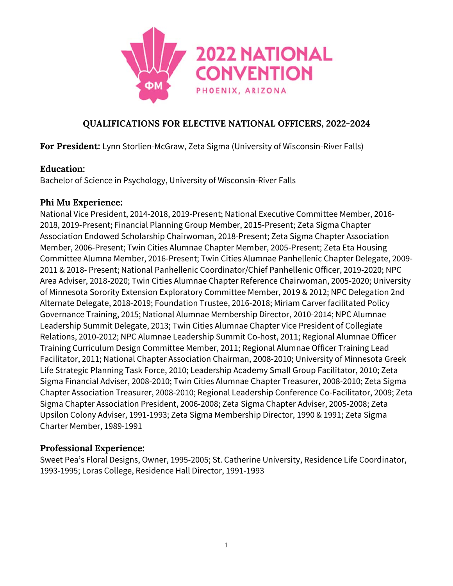

For President: Lynn Storlien-McGraw, Zeta Sigma (University of Wisconsin-River Falls)

### **Education:**

Bachelor of Science in Psychology, University of Wisconsin-River Falls

#### Phi Mu Experience:

National Vice President, 2014-2018, 2019-Present; National Executive Committee Member, 2016-2018, 2019-Present; Financial Planning Group Member, 2015-Present; Zeta Sigma Chapter Association Endowed Scholarship Chairwoman, 2018-Present; Zeta Sigma Chapter Association Member, 2006-Present; Twin Cities Alumnae Chapter Member, 2005-Present; Zeta Eta Housing Committee Alumna Member, 2016-Present; Twin Cities Alumnae Panhellenic Chapter Delegate, 2009-2011 & 2018- Present; National Panhellenic Coordinator/Chief Panhellenic Officer, 2019-2020; NPC Area Adviser, 2018-2020; Twin Cities Alumnae Chapter Reference Chairwoman, 2005-2020; University of Minnesota Sorority Extension Exploratory Committee Member, 2019 & 2012; NPC Delegation 2nd Alternate Delegate, 2018-2019; Foundation Trustee, 2016-2018; Miriam Carver facilitated Policy Governance Training, 2015; National Alumnae Membership Director, 2010-2014; NPC Alumnae Leadership Summit Delegate, 2013; Twin Cities Alumnae Chapter Vice President of Collegiate Relations, 2010-2012; NPC Alumnae Leadership Summit Co-host, 2011; Regional Alumnae Officer Training Curriculum Design Committee Member, 2011; Regional Alumnae Officer Training Lead Facilitator, 2011; National Chapter Association Chairman, 2008-2010; University of Minnesota Greek Life Strategic Planning Task Force, 2010; Leadership Academy Small Group Facilitator, 2010; Zeta Sigma Financial Adviser, 2008-2010; Twin Cities Alumnae Chapter Treasurer, 2008-2010; Zeta Sigma Chapter Association Treasurer, 2008-2010; Regional Leadership Conference Co-Facilitator, 2009; Zeta Sigma Chapter Association President, 2006-2008; Zeta Sigma Chapter Adviser, 2005-2008; Zeta Upsilon Colony Adviser, 1991-1993; Zeta Sigma Membership Director, 1990 & 1991; Zeta Sigma Charter Member, 1989-1991

### **Professional Experience:**

Sweet Pea's Floral Designs, Owner, 1995-2005; St. Catherine University, Residence Life Coordinator, 1993-1995; Loras College, Residence Hall Director, 1991-1993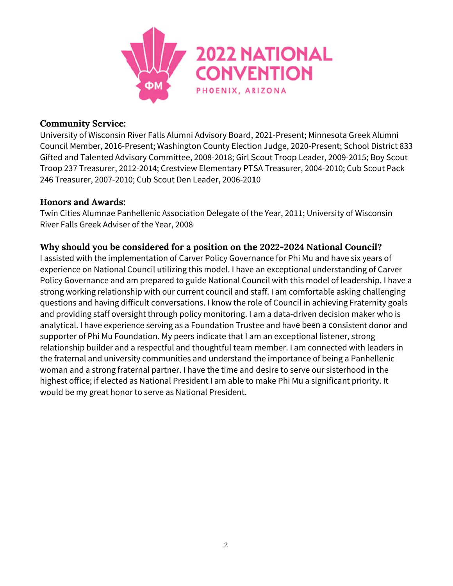

#### **C Communit ty Service:**

University of Wisconsin River Falls Alumni Advisory Board, 2021-Present; Minnesota Greek Alumni Council Member, 2016-Present; Washington County Election Judge, 2020-Present; School District 833 Gifted and Talented Advisory Committee, 2008-2018; Girl Scout Troop Leader, 2009-2015; Boy Scout Troop 237 Treasurer, 2012-2014; Crestview Elementary PTSA Treasurer, 2004-2010; Cub Scout Pack 246 Treasurer, 2007-2010; Cub Scout Den Leader, 2006-2010

#### **Honors and Awards:**

Twin Cities Alumnae Panhellenic Association Delegate of the Year, 2011; University of Wisconsin River Falls Greek Adviser of the Year, 2008

## Why should you be considered for a position on the 2022-2024 National Council?

I assisted with the implementation of Carver Policy Governance for Phi Mu and have six years of experience on National Council utilizing this model. I have an exceptional understanding of Carver Policy Governance and am prepared to guide National Council with this model of leadership. I have a strong working relationship with our current council and staff. I am comfortable asking challenging questions and having difficult conversations. I know the role of Council in achieving Fraternity goals and providing staff oversight through policy monitoring. I am a data-driven decision maker who is analytical. I have experience serving as a Foundation Trustee and have been a consistent donor and supporter of Phi Mu Foundation. My peers indicate that I am an exceptional listener, strong relationship builder and a respectful and thoughtful team member. I am connected with leaders in the fraternal and university communities and understand the importance of being a Panhellenic woman and a strong fraternal partner. I have the time and desire to serve our sisterhood in the highest office; if elected as National President I am able to make Phi Mu a significant priority. It would be my great honor to serve as National President.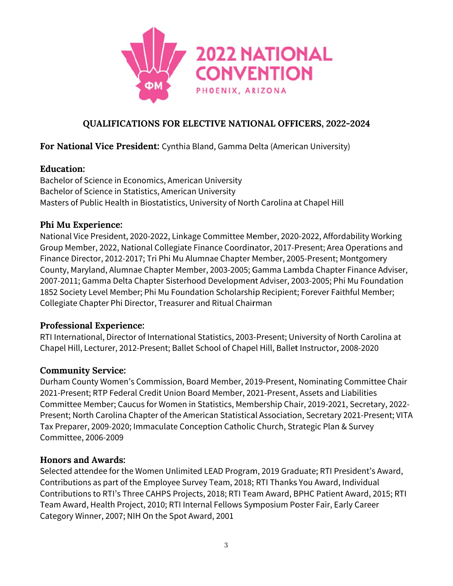

## For National Vice President: Cynthia Bland, Gamma Delta (American University)

## **Education:**

Bachelor of Science in Economics, American University Bachelor of Science in Statistics, American University Masters of Public Health in Biostatistics, University of North Carolina at Chapel Hill

## Phi Mu Experience:

National Vice President, 2020-2022, Linkage Committee Member, 2020-2022, Affordability Working Group Member, 2022, National Collegiate Finance Coordinator, 2017-Present; Area Operations and Finance Director, 2012-2017; Tri Phi Mu Alumnae Chapter Member, 2005-Present; Montgomery County, Maryland, Alumnae Chapter Member, 2003-2005; Gamma Lambda Chapter Finance Adviser, 2007-2011; Gamma Delta Chapter Sisterhood Development Adviser, 2003-2005; Phi Mu Foundation 1852 Society Level Member; Phi Mu Foundation Scholarship Recipient; Forever Faithful Member; Collegiate Chapter Phi Director, Treasurer and Ritual Chairman

## **Professional Experience:**

RTI International, Director of International Statistics, 2003-Present; University of North Carolina at Chapel Hill, Lecturer, 2012-Present; Ballet School of Chapel Hill, Ballet Instructor, 2008-2020

## **Community Service:**

Durham County Women's Commission, Board Member, 2019-Present, Nominating Committee Chair 2021-Present; RTP Federal Credit Union Board Member, 2021-Present, Assets and Liabilities Committee Member; Caucus for Women in Statistics, Membership Chair, 2019-2021, Secretary, 2022-Present; North Carolina Chapter of the American Statistical Association, Secretary 2021-Present; VITA Tax Preparer, 2009-2020; Immaculate Conception Catholic Church, Strategic Plan & Survey Committee, 2006-2009

### **Honors and Awards:**

Selected attendee for the Women Unlimited LEAD Program, 2019 Graduate; RTI President's Award, Contributions as part of the Employee Survey Team, 2018; RTI Thanks You Award, Individual Contributions to RTI's Three CAHPS Projects, 2018; RTI Team Award, BPHC Patient Award, 2015; RTI Team Award, Health Project, 2010; RTI Internal Fellows Symposium Poster Fair, Early Career Category Winner, 2007; NIH On the Spot Award, 2001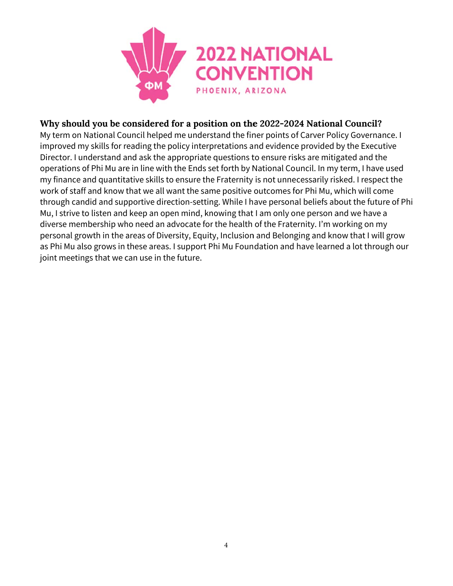

### Why should you be considered for a position on the 2022-2024 National Council?

My term on National Council helped me understand the finer points of Carver Policy Governance. I improved my skills for reading the policy interpretations and evidence provided by the Executive Director. I understand and ask the appropriate questions to ensure risks are mitigated and the operations of Phi Mu are in line with the Ends set forth by National Council. In my term, I have used my finance and quantitative skills to ensure the Fraternity is not unnecessarily risked. I respect the work of staff and know that we all want the same positive outcomes for Phi Mu, which will come through candid and supportive direction-setting. While I have personal beliefs about the future of Phi Mu, I strive to listen and keep an open mind, knowing that I am only one person and we have a diverse membership who need an advocate for the health of the Fraternity. I'm working on my personal growth in the areas of Diversity, Equity, Inclusion and Belonging and know that I will grow as Phi Mu also grows in these areas. I support Phi Mu Foundation and have learned a lot through our joint meetings that we can use in the future.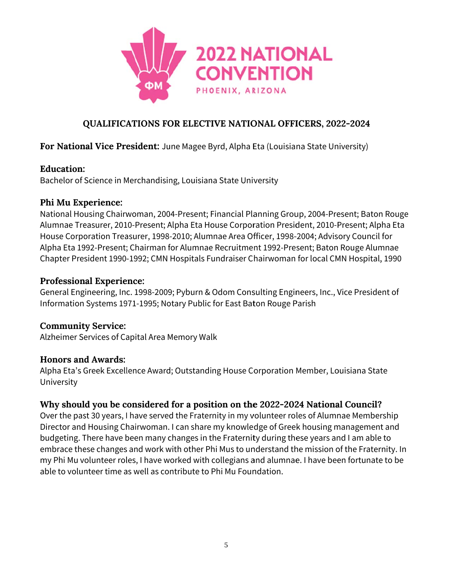

## For National Vice President: June Magee Byrd, Alpha Eta (Louisiana State University)

### **Education:**

Bachelor of Science in Merchandising, Louisiana State University

## Phi Mu Experience:

National Housing Chairwoman, 2004-Present; Financial Planning Group, 2004-Present; Baton Rouge Alumnae Treasurer, 2010-Present; Alpha Eta House Corporation President, 2010-Present; Alpha Eta House Corporation Treasurer, 1998-2010; Alumnae Area Officer, 1998-2004; Advisory Council for Alpha Eta 1992-Present; Chairman for Alumnae Recruitment 1992-Present; Baton Rouge Alumnae Chapter President 1990-1992; CMN Hospitals Fundraiser Chairwoman for local CMN Hospital, 1990

## **Professional Experience:**

General Engineering, Inc. 1998-2009; Pyburn & Odom Consulting Engineers, Inc., Vice President of Information Systems 1971-1995; Notary Public for East Baton Rouge Parish

## **Community Service:**

Alzheimer Services of Capital Area Memory Walk

## **Honors and Awards:**

Alpha Eta's Greek Excellence Award; Outstanding House Corporation Member, Louisiana State University

## Why should you be considered for a position on the 2022-2024 National Council?

Over the past 30 years, I have served the Fraternity in my volunteer roles of Alumnae Membership Director and Housing Chairwoman. I can share my knowledge of Greek housing management and budgeting. There have been many changes in the Fraternity during these years and I am able to embrace these changes and work with other Phi Mus to understand the mission of the Fraternity. In my Phi Mu volunteer roles, I have worked with collegians and alumnae. I have been fortunate to be able to volunteer time as well as contribute to Phi Mu Foundation.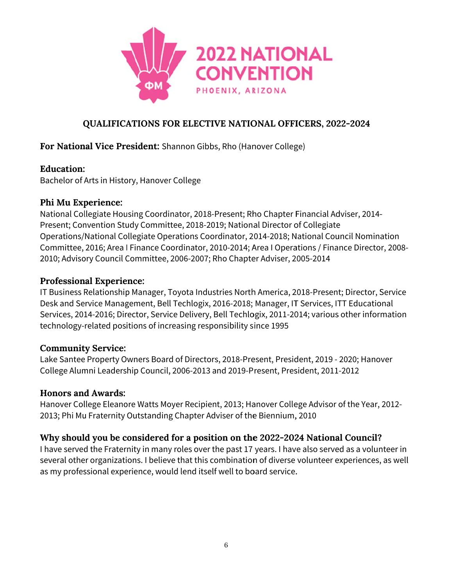

## For National Vice President: Shannon Gibbs, Rho (Hanover College)

## **Education:**

Bachelor of Arts in History, Hanover College

## Phi Mu Experience:

National Collegiate Housing Coordinator, 2018-Present; Rho Chapter Financial Adviser, 2014-Present; Convention Study Committee, 2018-2019; National Director of Collegiate Operations/National Collegiate Operations Coordinator, 2014-2018; National Council Nomination Committee, 2016; Area I Finance Coordinator, 2010-2014; Area I Operations / Finance Director, 2008-2010; Advisory Council Committee, 2006-2007; Rho Chapter Adviser, 2005-2014

### **Professional Experience:**

IT Business Relationship Manager, Toyota Industries North America, 2018-Present; Director, Service Desk and Service Management, Bell Techlogix, 2016-2018; Manager, IT Services, ITT Educational Services, 2014-2016; Director, Service Delivery, Bell Techlogix, 2011-2014; various other information technology-related positions of increasing responsibility since 1995

### **Community Service:**

Lake Santee Property Owners Board of Directors, 2018-Present, President, 2019 - 2020; Hanover College Alumni Leadership Council, 2006-2013 and 2019-Present, President, 2011-2012

### **Honors and Awards:**

Hanover College Eleanore Watts Moyer Recipient, 2013; Hanover College Advisor of the Year, 2012-2013; Phi Mu Fraternity Outstanding Chapter Adviser of the Biennium, 2010

## Why should you be considered for a position on the 2022-2024 National Council?

I have served the Fraternity in many roles over the past 17 years. I have also served as a volunteer in several other organizations. I believe that this combination of diverse volunteer experiences, as well as my professional experience, would lend itself well to board service.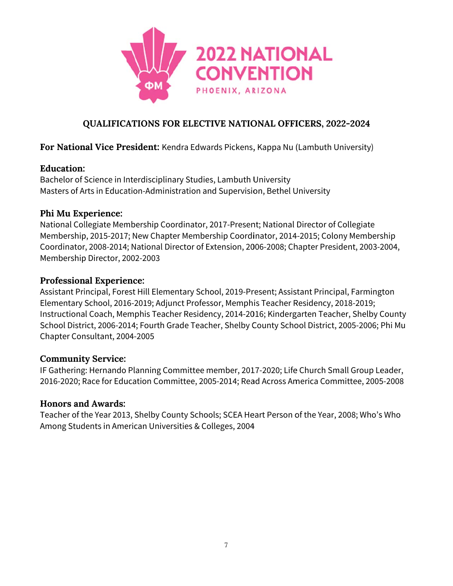

## For National Vice President: Kendra Edwards Pickens, Kappa Nu (Lambuth University)

### Education:

Bachelor of Science in Interdisciplinary Studies, Lambuth University Masters of Arts in Education-Administration and Supervision, Bethel University

### Phi Mu Experience:

National Collegiate Membership Coordinator, 2017-Present; National Director of Collegiate Membership, 2015-2017; New Chapter Membership Coordinator, 2014-2015: Colony Membership Coordinator, 2008-2014; National Director of Extension, 2006-2008; Chapter President, 2003-2004, Membership Director, 2002-2003

### **Professional Experience:**

Assistant Principal, Forest Hill Elementary School, 2019-Present; Assistant Principal, Farmington Elementary School, 2016-2019; Adjunct Professor, Memphis Teacher Residency, 2018-2019; Instructional Coach, Memphis Teacher Residency, 2014-2016; Kindergarten Teacher, Shelby County School District, 2006-2014; Fourth Grade Teacher, Shelby County School District, 2005-2006; Phi Mu Chapter Consultant, 2004-2005

### **Community Service:**

IF Gathering: Hernando Planning Committee member, 2017-2020; Life Church Small Group Leader, 2016-2020; Race for Education Committee, 2005-2014; Read Across America Committee, 2005-2008

#### **Honors and Awards:**

Teacher of the Year 2013, Shelby County Schools; SCEA Heart Person of the Year, 2008; Who's Who Among Students in American Universities & Colleges, 2004